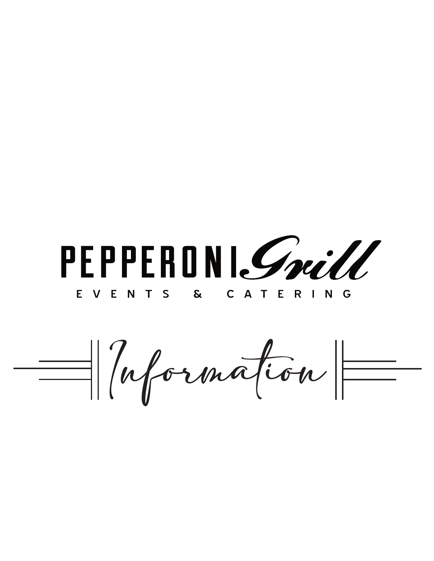PEPPERONISmill

EVENTS & CATERING

 $=$  /rformation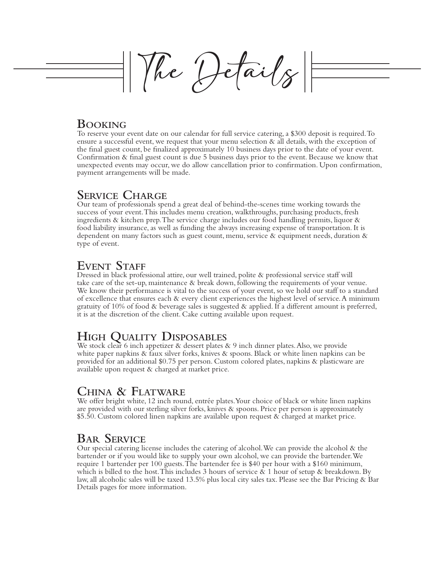The Details

### **Booking**

To reserve your event date on our calendar for full service catering, a \$300 deposit is required. To ensure a successful event, we request that your menu selection & all details, with the exception of the final guest count, be finalized approximately 10 business days prior to the date of your event. Confirmation & final guest count is due 5 business days prior to the event. Because we know that unexpected events may occur, we do allow cancellation prior to confirmation. Upon confirmation, payment arrangements will be made.

# **Service Charge**

Our team of professionals spend a great deal of behind-the-scenes time working towards the success of your event. This includes menu creation, walkthroughs, purchasing products, fresh ingredients & kitchen prep. The service charge includes our food handling permits, liquor & food liability insurance, as well as funding the always increasing expense of transportation. It is dependent on many factors such as guest count, menu, service & equipment needs, duration & type of event.

# **Event Staff**

Dressed in black professional attire, our well trained, polite & professional service staff will take care of the set-up, maintenance & break down, following the requirements of your venue. We know their performance is vital to the success of your event, so we hold our staff to a standard of excellence that ensures each & every client experiences the highest level of service. A minimum gratuity of 10% of food & beverage sales is suggested & applied. If a different amount is preferred, it is at the discretion of the client. Cake cutting available upon request.

# **High Quality Disposables**

We stock clear 6 inch appetizer & dessert plates & 9 inch dinner plates. Also, we provide white paper napkins & faux silver forks, knives & spoons. Black or white linen napkins can be provided for an additional \$0.75 per person. Custom colored plates, napkins & plasticware are available upon request & charged at market price.

## **China & Flatware**

We offer bright white, 12 inch round, entrée plates. Your choice of black or white linen napkins are provided with our sterling silver forks, knives & spoons. Price per person is approximately \$5.50. Custom colored linen napkins are available upon request & charged at market price.

## **Bar Service**

Our special catering license includes the catering of alcohol. We can provide the alcohol & the bartender or if you would like to supply your own alcohol, we can provide the bartender. We require 1 bartender per 100 guests. The bartender fee is \$40 per hour with a \$160 minimum, which is billed to the host. This includes 3 hours of service  $\&$  1 hour of setup  $\&$  breakdown. By law, all alcoholic sales will be taxed 13.5% plus local city sales tax. Please see the Bar Pricing & Bar Details pages for more information.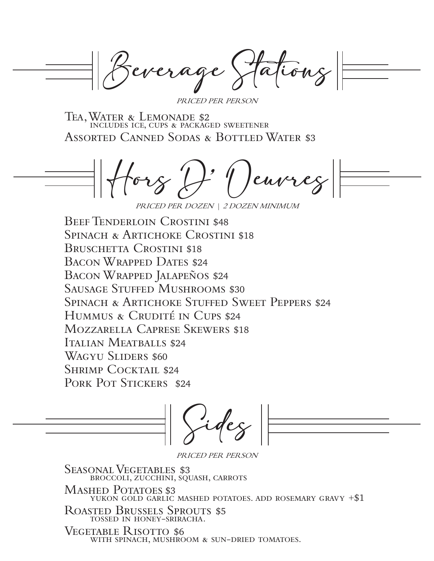Beverage Stations

PRICED PER PERSON

Tea, Water & Lemonade \$2 includes ice, cups & packaged sweetener Assorted Canned Sodas & Bottled Water \$3

euvreg PRICED PER DOZEN | 2 DOZEN MINIMUM

Beef Tenderloin Crostini \$48 SPINACH & ARTICHOKE CROSTINI \$18 BRUSCHETTA CROSTINI \$18 Bacon Wrapped Dates \$24 Bacon Wrapped Jalapeños \$24 Sausage Stuffed Mushrooms \$30 Spinach & Artichoke Stuffed Sweet Peppers \$24 Hummus & Crudité in Cups \$24 Mozzarella Caprese Skewers \$18 Italian Meatballs \$24 Wagyu Sliders \$60 SHRIMP COCKTAIL \$24 PORK POT STICKERS \$24

Sides



PRICED PER PERSON

SEASONAL VEGETABLES \$3 broccoli, zucchini, squash, carrots Mashed Potatoes \$3 YUKON GOLD GARLIC MASHED POTATOES. ADD ROSEMARY GRAVY  $+ $1$ Roasted Brussels Sprouts \$5

tossed in honey-sriracha.

Vegetable Risotto \$6 WITH SPINACH, MUSHROOM & SUN-DRIED TOMATOES.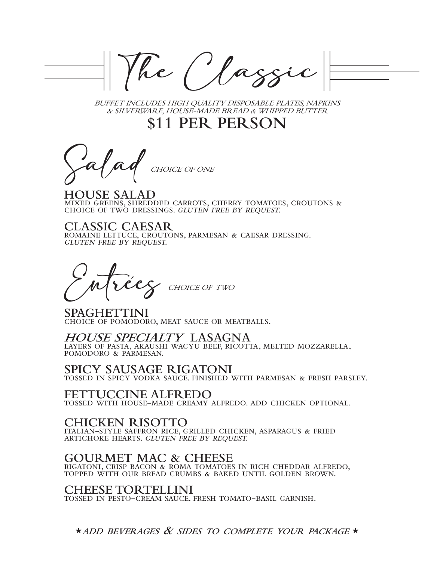he Classi

BUFFET INCLUDES HIGH QUALITY DISPOSABLE PLATES, NAPKINS & SILVERWARE, HOUSE-MADE BREAD & WHIPPED BUTTER

**\$11 PER PERSON**

CHOICE OF ONE

**HOUSE SALAD** mixed greens, shredded carrots, cherry tomatoes, croutons & choice of two dressings. gluten free by request.

**CLASSIC CAESAR** romaine lettuce, croutons, parmesan & caesar dressing. gluten free by request.

CHOICE OF TWO `

**SPAGHETTINI** choice of pomodoro, meat sauce or meatballs.

#### **HOUSE SPECIALTY LASAGNA**

layers of pasta, akaushi wagyu beef, ricotta, melted mozzarella, pomodoro & parmesan.

**SPICY SAUSAGE RIGATONI** 

tossed in spicy vodka sauce. finished with parmesan & fresh parsley.

#### **FETTUCCINE ALFREDO**

tossed with house-made creamy alfredo. add chicken optional.

### **CHICKEN RISOTTO**

italian-style saffron rice, grilled chicken, asparagus & fried artichoke hearts. gluten free by request.

#### **GOURMET MAC & CHEESE**

rigatoni, crisp bacon & roma tomatoes in rich cheddar alfredo, topped with our bread crumbs & baked until golden brown.

#### **CHEESE TORTELLINI**

tossed in pesto-cream sauce. fresh tomato-basil garnish.

**\*add beverages & sides to complete your package \***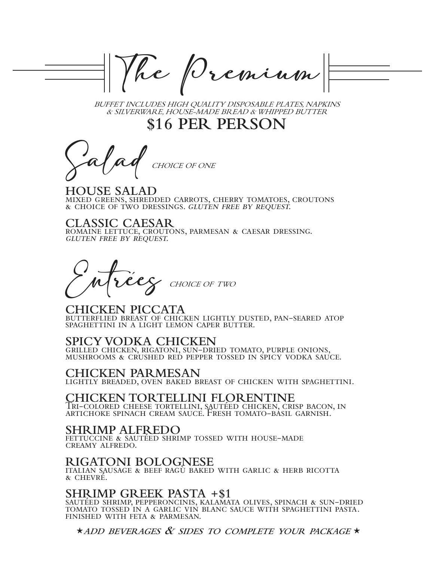The Premium

BUFFET INCLUDES HIGH QUALITY DISPOSABLE PLATES, NAPKINS & SILVERWARE, HOUSE-MADE BREAD & WHIPPED BUTTER

**\$16 PER PERSON**

CHOICE OF ONE

**HOUSE SALAD** mixed greens, shredded carrots, cherry tomatoes, croutons & choice of two dressings. gluten free by request.

**CLASSIC CAESAR** romaine lettuce, croutons, parmesan & caesar dressing. gluten free by request.

CHOICE OF TWO `

**CHICKEN PICCATA** butterflied breast of chicken lightly dusted, pan-seared atop SPAGHETTINI IN A LIGHT LEMON CAPER BUTTER.

#### **SPICY VODKA CHICKEN**

grilled chicken, rigatoni, sun-dried tomato, purple onions, mushrooms & crushed red pepper tossed in spicy vodka sauce.

#### **CHICKEN PARMESAN**

lightly breaded, oven baked breast of chicken with spaghettini.

# **CHICKEN TORTELLINI FLORENTINE**

Tri-colored cheese tortellini, sautéed chicken, crisp bacon, in artichoke spinach cream sauce. Fresh tomato-basil garnish.

#### **SHRIMP ALFREDO**

fettuccine & sautéed shrimp tossed with house-made creamy alfredo.

#### **RIGATONI BOLOGNESE**

italian sausage & beef ragù baked with garlic & herb ricotta & chevré.

#### **SHRIMP GREEK PASTA +\$1**

sautéed shrimp, pepperoncinis, kalamata olives, spinach & sun-dried tomato tossed in a garlic vin blanc sauce with spaghettini pasta. finished with feta & parmesan.

**\*add beverages & sides to complete your package \***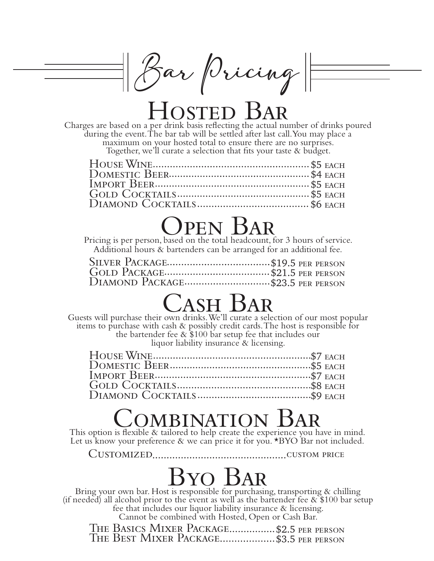Bar Pricing

# HOSTED BAR

Charges are based on a per drink basis reflecting the actual number of drinks poured during the event. The bar tab will be settled after last call. You may place a maximum on your hosted total to ensure there are no surprises. Together, we'll curate a selection that fits your taste & budget.

# Open Bar

Pricing is per person, based on the total headcount, for 3 hours of service. Additional hours & bartenders can be arranged for an additional fee.

| DIAMOND PACKAGE\$23.5 PER PERSON |  |
|----------------------------------|--|

# $\bigcup$ ASH  $\bigcup$ AR

Guests will purchase their own drinks. We'll curate a selection of our most popular items to purchase with cash & possibly credit cards. The host is responsible for the bartender fee & \$100 bar setup fee that includes our liquor liability insurance & licensing.

# OMBINATION

This option is flexible & tailored to help create the experience you have in mind. Let us know your preference & we can price it for you. \*BYO Bar not included.

Customized custom price

# Byo Bar

Bring your own bar. Host is responsible for purchasing, transporting & chilling (if needed) all alcohol prior to the event as well as the bartender fee  $\&$  \$100 bar setup fee that includes our liquor liability insurance & licensing. Cannot be combined with Hosted, Open or Cash Bar.

THE BASICS MIXER PACKAGE................\$2.5 PER PERSON THE BEST MIXER PACKAGE....................\$3.5 PER PERSON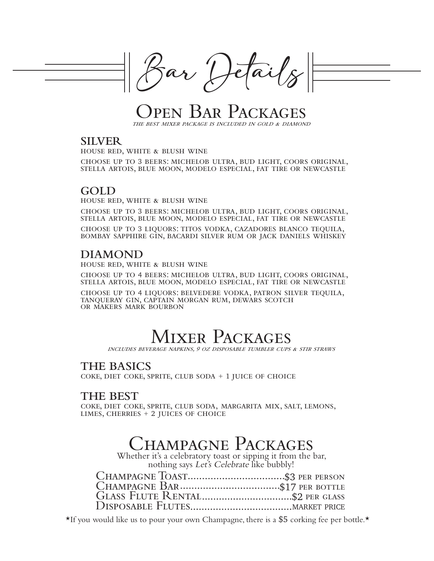

ar Hetail

en Bar Packa the best mixer package is included in gold & diamond

#### **SILVER**

house red, white & blush wine

choose up to 3 beers: michelob ultra, bud light, coors original, stella artois, blue moon, modelo especial, fat tire or newcastle

# **GOLD**

house red, white & blush wine

choose up to 3 beers: michelob ultra, bud light, coors original, stella artois, blue moon, modelo especial, fat tire or newcastle

choose up to 3 liquors: titos vodka, cazadores blanco tequila, bombay sapphire gin, bacardi silver rum or jack daniels whiskey

## **DIAMOND**

house red, white & blush wine

choose up to 4 beers: michelob ultra, bud light, coors original, stella artois, blue moon, modelo especial, fat tire or newcastle

choose up to 4 liquors: belvedere vodka, patron silver tequila, tanqueray gin, captain morgan rum, dewars scotch or makers mark bourbon

# Mixer Packages

includes beverage napkins, 9 oz disposable tumbler cups & stir straws

### **THE BASICS**

coke, diet coke, sprite, club soda + 1 juice of choice

### **THE BEST**

coke, diet coke, sprite, club soda, margarita mix, salt, lemons, limes, cherries + 2 juices of choice

# Champagne Packages

Whether it's a celebratory toast or sipping it from the bar, nothing says Let's Celebrate like bubbly!

**\***If you would like us to pour your own Champagne, there is a \$5 corking fee per bottle.**\***